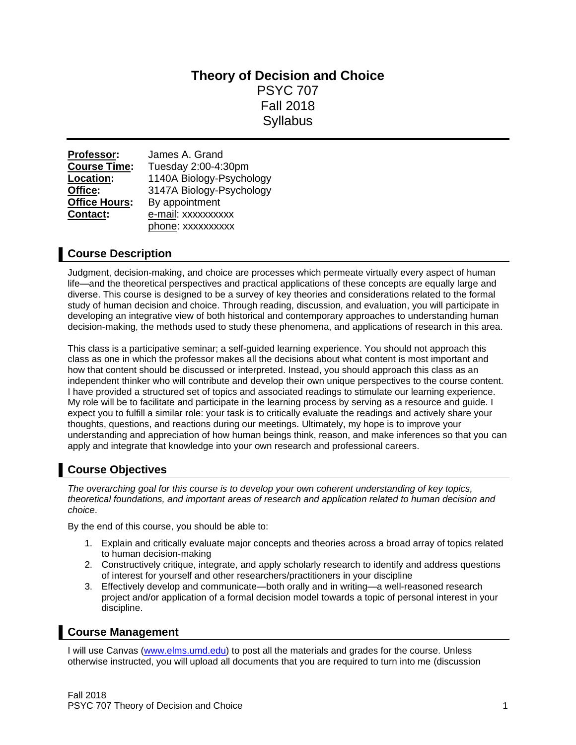# **Theory of Decision and Choice** PSYC 707 Fall 2018 **Syllabus**

| Professor:           | James A. Grand           |  |
|----------------------|--------------------------|--|
| <b>Course Time:</b>  | Tuesday 2:00-4:30pm      |  |
| Location:            | 1140A Biology-Psychology |  |
| Office:              | 3147A Biology-Psychology |  |
| <b>Office Hours:</b> | By appointment           |  |
| Contact:             | e-mail: xxxxxxxxxx       |  |
|                      | phone: xxxxxxxxxx        |  |

# **Course Description**

Judgment, decision-making, and choice are processes which permeate virtually every aspect of human life—and the theoretical perspectives and practical applications of these concepts are equally large and diverse. This course is designed to be a survey of key theories and considerations related to the formal study of human decision and choice. Through reading, discussion, and evaluation, you will participate in developing an integrative view of both historical and contemporary approaches to understanding human decision-making, the methods used to study these phenomena, and applications of research in this area.

This class is a participative seminar; a self-guided learning experience. You should not approach this class as one in which the professor makes all the decisions about what content is most important and how that content should be discussed or interpreted. Instead, you should approach this class as an independent thinker who will contribute and develop their own unique perspectives to the course content. I have provided a structured set of topics and associated readings to stimulate our learning experience. My role will be to facilitate and participate in the learning process by serving as a resource and guide. I expect you to fulfill a similar role: your task is to critically evaluate the readings and actively share your thoughts, questions, and reactions during our meetings. Ultimately, my hope is to improve your understanding and appreciation of how human beings think, reason, and make inferences so that you can apply and integrate that knowledge into your own research and professional careers.

# **Course Objectives**

*The overarching goal for this course is to develop your own coherent understanding of key topics, theoretical foundations, and important areas of research and application related to human decision and choice*.

By the end of this course, you should be able to:

- 1. Explain and critically evaluate major concepts and theories across a broad array of topics related to human decision-making
- 2. Constructively critique, integrate, and apply scholarly research to identify and address questions of interest for yourself and other researchers/practitioners in your discipline
- 3. Effectively develop and communicate—both orally and in writing—a well-reasoned research project and/or application of a formal decision model towards a topic of personal interest in your discipline.

# **Course Management**

I will use Canvas [\(www.elms.umd.edu\)](http://www.elms.umd.edu/) to post all the materials and grades for the course. Unless otherwise instructed, you will upload all documents that you are required to turn into me (discussion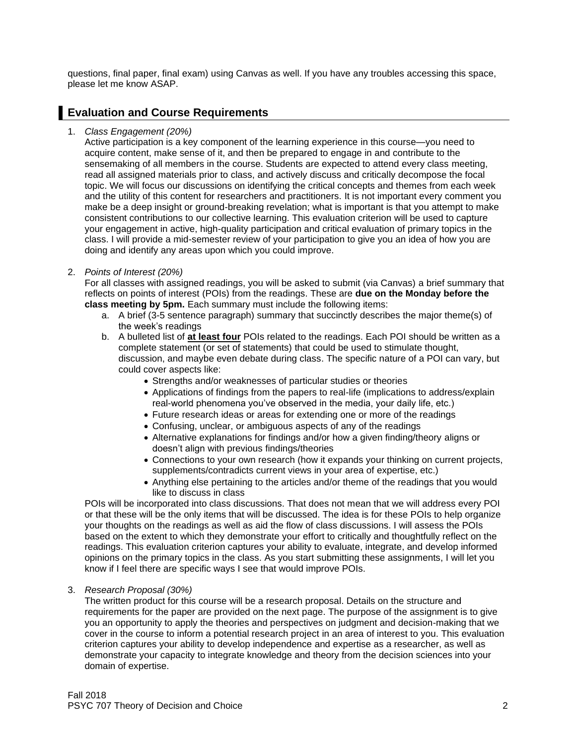questions, final paper, final exam) using Canvas as well. If you have any troubles accessing this space, please let me know ASAP.

## **Evaluation and Course Requirements**

1. *Class Engagement (20%)*

Active participation is a key component of the learning experience in this course—you need to acquire content, make sense of it, and then be prepared to engage in and contribute to the sensemaking of all members in the course. Students are expected to attend every class meeting, read all assigned materials prior to class, and actively discuss and critically decompose the focal topic. We will focus our discussions on identifying the critical concepts and themes from each week and the utility of this content for researchers and practitioners. It is not important every comment you make be a deep insight or ground-breaking revelation; what is important is that you attempt to make consistent contributions to our collective learning. This evaluation criterion will be used to capture your engagement in active, high-quality participation and critical evaluation of primary topics in the class. I will provide a mid-semester review of your participation to give you an idea of how you are doing and identify any areas upon which you could improve.

## 2. *Points of Interest (20%)*

For all classes with assigned readings, you will be asked to submit (via Canvas) a brief summary that reflects on points of interest (POIs) from the readings. These are **due on the Monday before the class meeting by 5pm.** Each summary must include the following items:

- a. A brief (3-5 sentence paragraph) summary that succinctly describes the major theme(s) of the week's readings
- b. A bulleted list of **at least four** POIs related to the readings. Each POI should be written as a complete statement (or set of statements) that could be used to stimulate thought, discussion, and maybe even debate during class. The specific nature of a POI can vary, but could cover aspects like:
	- Strengths and/or weaknesses of particular studies or theories
	- Applications of findings from the papers to real-life (implications to address/explain real-world phenomena you've observed in the media, your daily life, etc.)
	- Future research ideas or areas for extending one or more of the readings
	- Confusing, unclear, or ambiguous aspects of any of the readings
	- Alternative explanations for findings and/or how a given finding/theory aligns or doesn't align with previous findings/theories
	- Connections to your own research (how it expands your thinking on current projects, supplements/contradicts current views in your area of expertise, etc.)
	- Anything else pertaining to the articles and/or theme of the readings that you would like to discuss in class

POIs will be incorporated into class discussions. That does not mean that we will address every POI or that these will be the only items that will be discussed. The idea is for these POIs to help organize your thoughts on the readings as well as aid the flow of class discussions. I will assess the POIs based on the extent to which they demonstrate your effort to critically and thoughtfully reflect on the readings. This evaluation criterion captures your ability to evaluate, integrate, and develop informed opinions on the primary topics in the class. As you start submitting these assignments, I will let you know if I feel there are specific ways I see that would improve POIs.

3. *Research Proposal (30%)*

The written product for this course will be a research proposal. Details on the structure and requirements for the paper are provided on the next page. The purpose of the assignment is to give you an opportunity to apply the theories and perspectives on judgment and decision-making that we cover in the course to inform a potential research project in an area of interest to you. This evaluation criterion captures your ability to develop independence and expertise as a researcher, as well as demonstrate your capacity to integrate knowledge and theory from the decision sciences into your domain of expertise.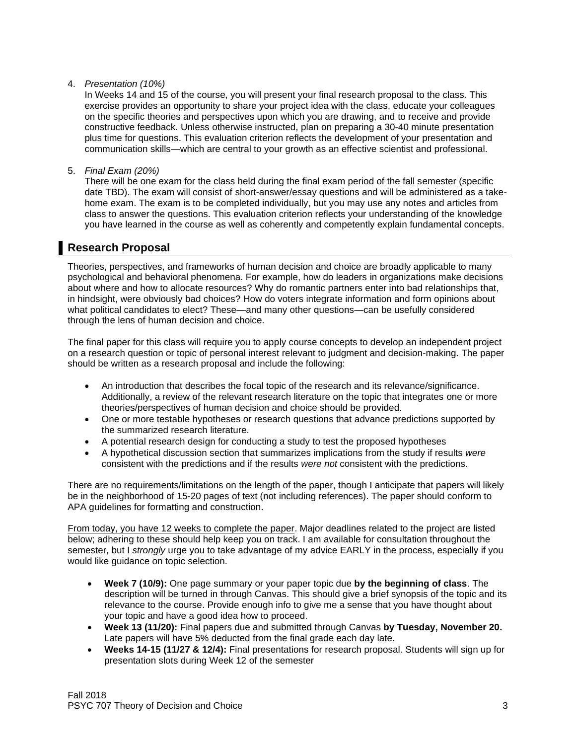## 4. *Presentation (10%)*

In Weeks 14 and 15 of the course, you will present your final research proposal to the class. This exercise provides an opportunity to share your project idea with the class, educate your colleagues on the specific theories and perspectives upon which you are drawing, and to receive and provide constructive feedback. Unless otherwise instructed, plan on preparing a 30-40 minute presentation plus time for questions. This evaluation criterion reflects the development of your presentation and communication skills—which are central to your growth as an effective scientist and professional.

5. *Final Exam (20%)*

There will be one exam for the class held during the final exam period of the fall semester (specific date TBD). The exam will consist of short-answer/essay questions and will be administered as a takehome exam. The exam is to be completed individually, but you may use any notes and articles from class to answer the questions. This evaluation criterion reflects your understanding of the knowledge you have learned in the course as well as coherently and competently explain fundamental concepts.

## **Research Proposal**

Theories, perspectives, and frameworks of human decision and choice are broadly applicable to many psychological and behavioral phenomena. For example, how do leaders in organizations make decisions about where and how to allocate resources? Why do romantic partners enter into bad relationships that, in hindsight, were obviously bad choices? How do voters integrate information and form opinions about what political candidates to elect? These—and many other questions—can be usefully considered through the lens of human decision and choice.

The final paper for this class will require you to apply course concepts to develop an independent project on a research question or topic of personal interest relevant to judgment and decision-making. The paper should be written as a research proposal and include the following:

- An introduction that describes the focal topic of the research and its relevance/significance. Additionally, a review of the relevant research literature on the topic that integrates one or more theories/perspectives of human decision and choice should be provided.
- One or more testable hypotheses or research questions that advance predictions supported by the summarized research literature.
- A potential research design for conducting a study to test the proposed hypotheses
- A hypothetical discussion section that summarizes implications from the study if results *were* consistent with the predictions and if the results *were not* consistent with the predictions.

There are no requirements/limitations on the length of the paper, though I anticipate that papers will likely be in the neighborhood of 15-20 pages of text (not including references). The paper should conform to APA guidelines for formatting and construction.

From today, you have 12 weeks to complete the paper. Major deadlines related to the project are listed below; adhering to these should help keep you on track. I am available for consultation throughout the semester, but I *strongly* urge you to take advantage of my advice EARLY in the process, especially if you would like guidance on topic selection.

- **Week 7 (10/9):** One page summary or your paper topic due **by the beginning of class**. The description will be turned in through Canvas. This should give a brief synopsis of the topic and its relevance to the course. Provide enough info to give me a sense that you have thought about your topic and have a good idea how to proceed.
- **Week 13 (11/20):** Final papers due and submitted through Canvas **by Tuesday, November 20.** Late papers will have 5% deducted from the final grade each day late.
- **Weeks 14-15 (11/27 & 12/4):** Final presentations for research proposal. Students will sign up for presentation slots during Week 12 of the semester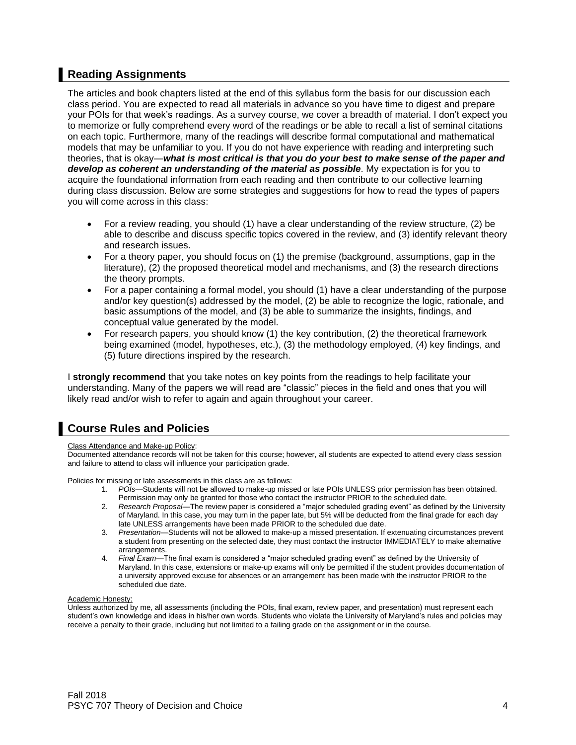# **Reading Assignments**

The articles and book chapters listed at the end of this syllabus form the basis for our discussion each class period. You are expected to read all materials in advance so you have time to digest and prepare your POIs for that week's readings. As a survey course, we cover a breadth of material. I don't expect you to memorize or fully comprehend every word of the readings or be able to recall a list of seminal citations on each topic. Furthermore, many of the readings will describe formal computational and mathematical models that may be unfamiliar to you. If you do not have experience with reading and interpreting such theories, that is okay—*what is most critical is that you do your best to make sense of the paper and develop as coherent an understanding of the material as possible*. My expectation is for you to acquire the foundational information from each reading and then contribute to our collective learning during class discussion. Below are some strategies and suggestions for how to read the types of papers you will come across in this class:

- For a review reading, you should (1) have a clear understanding of the review structure, (2) be able to describe and discuss specific topics covered in the review, and (3) identify relevant theory and research issues.
- For a theory paper, you should focus on (1) the premise (background, assumptions, gap in the literature), (2) the proposed theoretical model and mechanisms, and (3) the research directions the theory prompts.
- For a paper containing a formal model, you should (1) have a clear understanding of the purpose and/or key question(s) addressed by the model, (2) be able to recognize the logic, rationale, and basic assumptions of the model, and (3) be able to summarize the insights, findings, and conceptual value generated by the model.
- For research papers, you should know (1) the key contribution, (2) the theoretical framework being examined (model, hypotheses, etc.), (3) the methodology employed, (4) key findings, and (5) future directions inspired by the research.

I **strongly recommend** that you take notes on key points from the readings to help facilitate your understanding. Many of the papers we will read are "classic" pieces in the field and ones that you will likely read and/or wish to refer to again and again throughout your career.

# **Course Rules and Policies**

#### Class Attendance and Make-up Policy:

Documented attendance records will not be taken for this course; however, all students are expected to attend every class session and failure to attend to class will influence your participation grade.

Policies for missing or late assessments in this class are as follows:

- 1. *POIs*—Students will not be allowed to make-up missed or late POIs UNLESS prior permission has been obtained. Permission may only be granted for those who contact the instructor PRIOR to the scheduled date.
- 2. *Research Proposal*—The review paper is considered a "major scheduled grading event" as defined by the University of Maryland. In this case, you may turn in the paper late, but 5% will be deducted from the final grade for each day late UNLESS arrangements have been made PRIOR to the scheduled due date.
- 3. *Presentation*—Students will not be allowed to make-up a missed presentation. If extenuating circumstances prevent a student from presenting on the selected date, they must contact the instructor IMMEDIATELY to make alternative arrangements.
- 4. *Final Exam*—The final exam is considered a "major scheduled grading event" as defined by the University of Maryland. In this case, extensions or make-up exams will only be permitted if the student provides documentation of a university approved excuse for absences or an arrangement has been made with the instructor PRIOR to the scheduled due date.

### Academic Honesty:

Unless authorized by me, all assessments (including the POIs, final exam, review paper, and presentation) must represent each student's own knowledge and ideas in his/her own words. Students who violate the University of Maryland's rules and policies may receive a penalty to their grade, including but not limited to a failing grade on the assignment or in the course.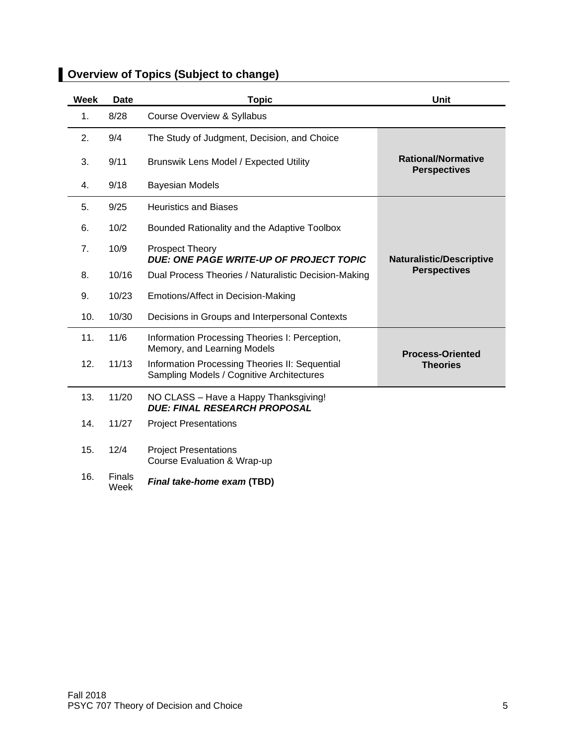| Week | <b>Date</b>    | <b>Topic</b>                                                                                | <b>Unit</b>                                      |
|------|----------------|---------------------------------------------------------------------------------------------|--------------------------------------------------|
| 1.   | 8/28           | <b>Course Overview &amp; Syllabus</b>                                                       |                                                  |
| 2.   | 9/4            | The Study of Judgment, Decision, and Choice                                                 |                                                  |
| 3.   | 9/11           | Brunswik Lens Model / Expected Utility                                                      | <b>Rational/Normative</b><br><b>Perspectives</b> |
| 4.   | 9/18           | <b>Bayesian Models</b>                                                                      |                                                  |
| 5.   | 9/25           | <b>Heuristics and Biases</b>                                                                |                                                  |
| 6.   | 10/2           | Bounded Rationality and the Adaptive Toolbox                                                |                                                  |
| 7.   | 10/9           | Prospect Theory<br><b>DUE: ONE PAGE WRITE-UP OF PROJECT TOPIC</b>                           | <b>Naturalistic/Descriptive</b>                  |
| 8.   | 10/16          | Dual Process Theories / Naturalistic Decision-Making                                        | <b>Perspectives</b>                              |
| 9.   | 10/23          | Emotions/Affect in Decision-Making                                                          |                                                  |
| 10.  | 10/30          | Decisions in Groups and Interpersonal Contexts                                              |                                                  |
| 11.  | 11/6           | Information Processing Theories I: Perception,<br>Memory, and Learning Models               | <b>Process-Oriented</b>                          |
| 12.  | 11/13          | Information Processing Theories II: Sequential<br>Sampling Models / Cognitive Architectures | <b>Theories</b>                                  |
| 13.  | 11/20          | NO CLASS - Have a Happy Thanksgiving!<br><b>DUE: FINAL RESEARCH PROPOSAL</b>                |                                                  |
| 14.  | 11/27          | <b>Project Presentations</b>                                                                |                                                  |
| 15.  | 12/4           | <b>Project Presentations</b><br>Course Evaluation & Wrap-up                                 |                                                  |
| 16.  | Finals<br>Week | Final take-home exam (TBD)                                                                  |                                                  |

# **Overview of Topics (Subject to change)**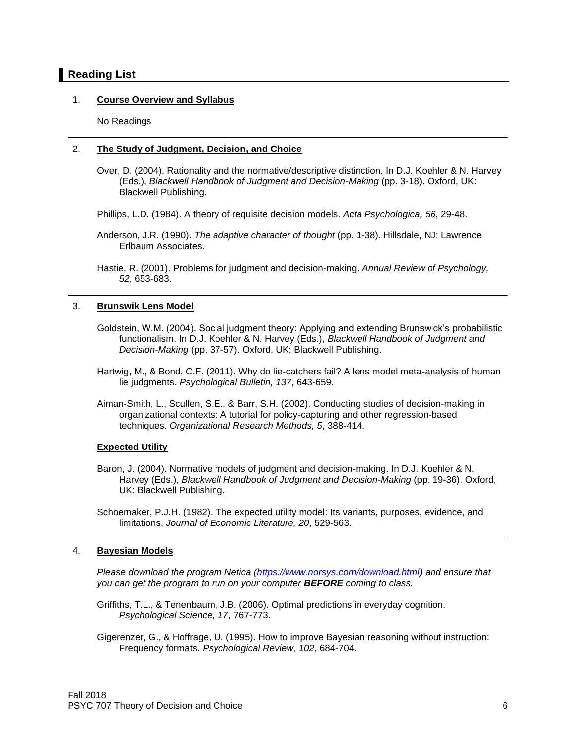## **Reading List**

### 1. **Course Overview and Syllabus**

No Readings

### 2. **The Study of Judgment, Decision, and Choice**

- Over, D. (2004). Rationality and the normative/descriptive distinction. In D.J. Koehler & N. Harvey (Eds.), *Blackwell Handbook of Judgment and Decision-Making* (pp. 3-18). Oxford, UK: Blackwell Publishing.
- Phillips, L.D. (1984). A theory of requisite decision models. *Acta Psychologica, 56*, 29-48.
- Anderson, J.R. (1990). *The adaptive character of thought* (pp. 1-38). Hillsdale, NJ: Lawrence Erlbaum Associates.

### 3. **Brunswik Lens Model**

- Goldstein, W.M. (2004). Social judgment theory: Applying and extending Brunswick's probabilistic functionalism. In D.J. Koehler & N. Harvey (Eds.), *Blackwell Handbook of Judgment and Decision-Making* (pp. 37-57). Oxford, UK: Blackwell Publishing.
- Hartwig, M., & Bond, C.F. (2011). Why do lie-catchers fail? A lens model meta-analysis of human lie judgments. *Psychological Bulletin, 137*, 643-659.
- Aiman-Smith, L., Scullen, S.E., & Barr, S.H. (2002). Conducting studies of decision-making in organizational contexts: A tutorial for policy-capturing and other regression-based techniques. *Organizational Research Methods, 5*, 388-414.

### **Expected Utility**

Baron, J. (2004). Normative models of judgment and decision-making. In D.J. Koehler & N. Harvey (Eds.), *Blackwell Handbook of Judgment and Decision-Making* (pp. 19-36). Oxford, UK: Blackwell Publishing.

Schoemaker, P.J.H. (1982). The expected utility model: Its variants, purposes, evidence, and limitations. *Journal of Economic Literature, 20*, 529-563.

### 4. **Bayesian Models**

*Please download the program Netica [\(https://www.norsys.com/download.html\)](https://www.norsys.com/download.html) and ensure that you can get the program to run on your computer BEFORE coming to class.*

Griffiths, T.L., & Tenenbaum, J.B. (2006). Optimal predictions in everyday cognition. *Psychological Science, 17*, 767-773.

Gigerenzer, G., & Hoffrage, U. (1995). How to improve Bayesian reasoning without instruction: Frequency formats. *Psychological Review, 102*, 684-704.

Hastie, R. (2001). Problems for judgment and decision-making. *Annual Review of Psychology, 52*, 653-683.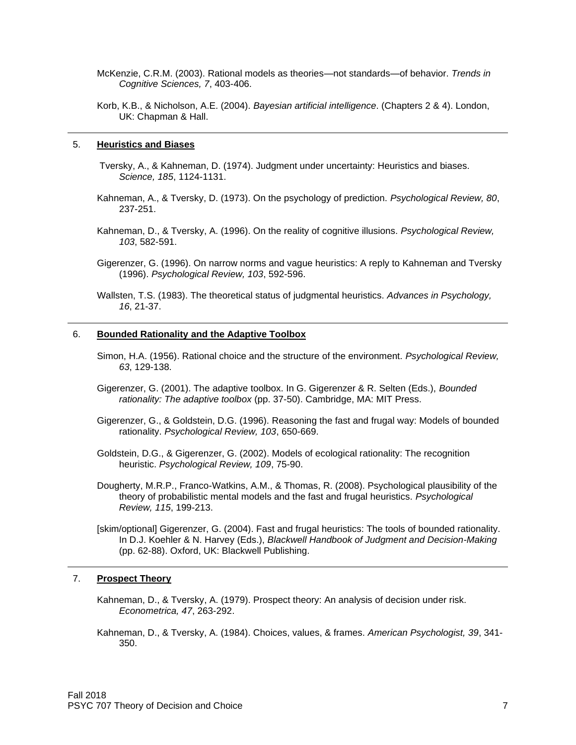McKenzie, C.R.M. (2003). Rational models as theories—not standards—of behavior. *Trends in Cognitive Sciences, 7*, 403-406.

Korb, K.B., & Nicholson, A.E. (2004). *Bayesian artificial intelligence*. (Chapters 2 & 4). London, UK: Chapman & Hall.

#### 5. **Heuristics and Biases**

Tversky, A., & Kahneman, D. (1974). Judgment under uncertainty: Heuristics and biases. *Science, 185*, 1124-1131.

- Kahneman, A., & Tversky, D. (1973). On the psychology of prediction. *Psychological Review, 80*, 237-251.
- Kahneman, D., & Tversky, A. (1996). On the reality of cognitive illusions. *Psychological Review, 103*, 582-591.

Gigerenzer, G. (1996). On narrow norms and vague heuristics: A reply to Kahneman and Tversky (1996). *Psychological Review, 103*, 592-596.

Wallsten, T.S. (1983). The theoretical status of judgmental heuristics. *Advances in Psychology, 16*, 21-37.

#### 6. **Bounded Rationality and the Adaptive Toolbox**

- Simon, H.A. (1956). Rational choice and the structure of the environment. *Psychological Review, 63*, 129-138.
- Gigerenzer, G. (2001). The adaptive toolbox. In G. Gigerenzer & R. Selten (Eds.), *Bounded rationality: The adaptive toolbox* (pp. 37-50). Cambridge, MA: MIT Press.
- Gigerenzer, G., & Goldstein, D.G. (1996). Reasoning the fast and frugal way: Models of bounded rationality. *Psychological Review, 103*, 650-669.
- Goldstein, D.G., & Gigerenzer, G. (2002). Models of ecological rationality: The recognition heuristic. *Psychological Review, 109*, 75-90.
- Dougherty, M.R.P., Franco-Watkins, A.M., & Thomas, R. (2008). Psychological plausibility of the theory of probabilistic mental models and the fast and frugal heuristics. *Psychological Review, 115*, 199-213.

[skim/optional] Gigerenzer, G. (2004). Fast and frugal heuristics: The tools of bounded rationality. In D.J. Koehler & N. Harvey (Eds.), *Blackwell Handbook of Judgment and Decision-Making* (pp. 62-88). Oxford, UK: Blackwell Publishing.

### 7. **Prospect Theory**

- Kahneman, D., & Tversky, A. (1979). Prospect theory: An analysis of decision under risk. *Econometrica, 47*, 263-292.
- Kahneman, D., & Tversky, A. (1984). Choices, values, & frames. *American Psychologist, 39*, 341- 350.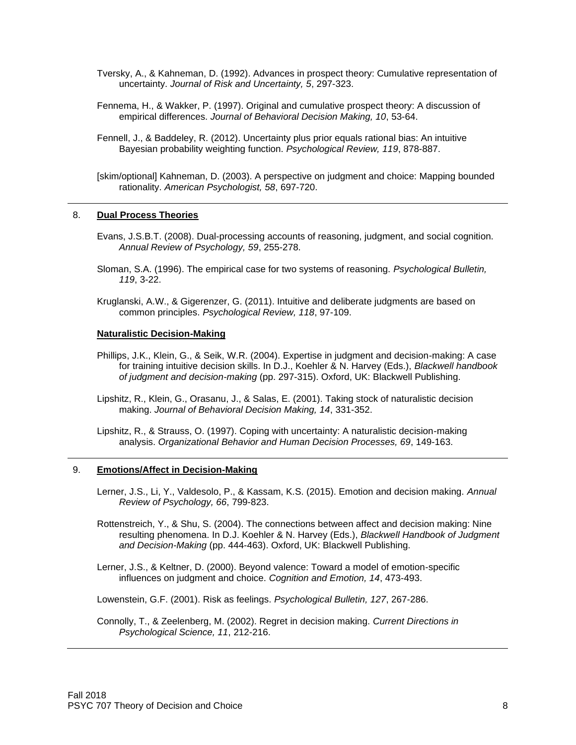- Tversky, A., & Kahneman, D. (1992). Advances in prospect theory: Cumulative representation of uncertainty. *Journal of Risk and Uncertainty, 5*, 297-323.
- Fennema, H., & Wakker, P. (1997). Original and cumulative prospect theory: A discussion of empirical differences. *Journal of Behavioral Decision Making, 10*, 53-64.
- Fennell, J., & Baddeley, R. (2012). Uncertainty plus prior equals rational bias: An intuitive Bayesian probability weighting function. *Psychological Review, 119*, 878-887.
- [skim/optional] Kahneman, D. (2003). A perspective on judgment and choice: Mapping bounded rationality. *American Psychologist, 58*, 697-720.

#### 8. **Dual Process Theories**

- Evans, J.S.B.T. (2008). Dual-processing accounts of reasoning, judgment, and social cognition. *Annual Review of Psychology, 59*, 255-278.
- Sloman, S.A. (1996). The empirical case for two systems of reasoning. *Psychological Bulletin, 119*, 3-22.
- Kruglanski, A.W., & Gigerenzer, G. (2011). Intuitive and deliberate judgments are based on common principles. *Psychological Review, 118*, 97-109.

#### **Naturalistic Decision-Making**

- Phillips, J.K., Klein, G., & Seik, W.R. (2004). Expertise in judgment and decision-making: A case for training intuitive decision skills. In D.J., Koehler & N. Harvey (Eds.), *Blackwell handbook of judgment and decision-making* (pp. 297-315). Oxford, UK: Blackwell Publishing.
- Lipshitz, R., Klein, G., Orasanu, J., & Salas, E. (2001). Taking stock of naturalistic decision making. *Journal of Behavioral Decision Making, 14*, 331-352.
- Lipshitz, R., & Strauss, O. (1997). Coping with uncertainty: A naturalistic decision-making analysis. *Organizational Behavior and Human Decision Processes, 69*, 149-163.

#### 9. **Emotions/Affect in Decision-Making**

- Lerner, J.S., Li, Y., Valdesolo, P., & Kassam, K.S. (2015). Emotion and decision making. *Annual Review of Psychology, 66*, 799-823.
- Rottenstreich, Y., & Shu, S. (2004). The connections between affect and decision making: Nine resulting phenomena. In D.J. Koehler & N. Harvey (Eds.), *Blackwell Handbook of Judgment and Decision-Making* (pp. 444-463). Oxford, UK: Blackwell Publishing.
- Lerner, J.S., & Keltner, D. (2000). Beyond valence: Toward a model of emotion-specific influences on judgment and choice. *Cognition and Emotion, 14*, 473-493.

Lowenstein, G.F. (2001). Risk as feelings. *Psychological Bulletin, 127*, 267-286.

Connolly, T., & Zeelenberg, M. (2002). Regret in decision making. *Current Directions in Psychological Science, 11*, 212-216.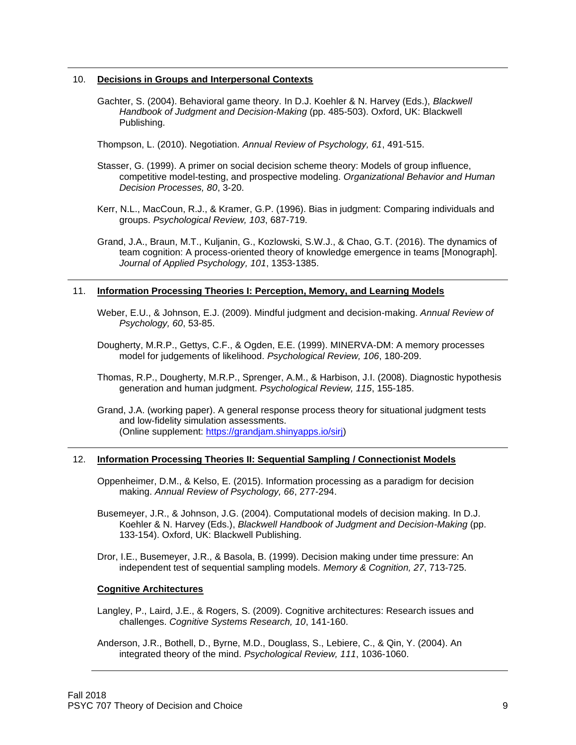#### 10. **Decisions in Groups and Interpersonal Contexts**

- Gachter, S. (2004). Behavioral game theory. In D.J. Koehler & N. Harvey (Eds.), *Blackwell Handbook of Judgment and Decision-Making* (pp. 485-503). Oxford, UK: Blackwell Publishing.
- Thompson, L. (2010). Negotiation. *Annual Review of Psychology, 61*, 491-515.
- Stasser, G. (1999). A primer on social decision scheme theory: Models of group influence, competitive model-testing, and prospective modeling. *Organizational Behavior and Human Decision Processes, 80*, 3-20.
- Kerr, N.L., MacCoun, R.J., & Kramer, G.P. (1996). Bias in judgment: Comparing individuals and groups. *Psychological Review, 103*, 687-719.
- Grand, J.A., Braun, M.T., Kuljanin, G., Kozlowski, S.W.J., & Chao, G.T. (2016). The dynamics of team cognition: A process-oriented theory of knowledge emergence in teams [Monograph]. *Journal of Applied Psychology, 101*, 1353-1385.

### 11. **Information Processing Theories I: Perception, Memory, and Learning Models**

- Weber, E.U., & Johnson, E.J. (2009). Mindful judgment and decision-making. *Annual Review of Psychology, 60*, 53-85.
- Dougherty, M.R.P., Gettys, C.F., & Ogden, E.E. (1999). MINERVA-DM: A memory processes model for judgements of likelihood. *Psychological Review, 106*, 180-209.
- Thomas, R.P., Dougherty, M.R.P., Sprenger, A.M., & Harbison, J.I. (2008). Diagnostic hypothesis generation and human judgment. *Psychological Review, 115*, 155-185.
- Grand, J.A. (working paper). A general response process theory for situational judgment tests and low-fidelity simulation assessments. (Online supplement: [https://grandjam.shinyapps.io/sirj\)](https://grandjam.shinyapps.io/sirj)

### 12. **Information Processing Theories II: Sequential Sampling / Connectionist Models**

- Oppenheimer, D.M., & Kelso, E. (2015). Information processing as a paradigm for decision making. *Annual Review of Psychology, 66*, 277-294.
- Busemeyer, J.R., & Johnson, J.G. (2004). Computational models of decision making. In D.J. Koehler & N. Harvey (Eds.), *Blackwell Handbook of Judgment and Decision-Making* (pp. 133-154). Oxford, UK: Blackwell Publishing.
- Dror, I.E., Busemeyer, J.R., & Basola, B. (1999). Decision making under time pressure: An independent test of sequential sampling models. *Memory & Cognition, 27*, 713-725.

#### **Cognitive Architectures**

- Langley, P., Laird, J.E., & Rogers, S. (2009). Cognitive architectures: Research issues and challenges. *Cognitive Systems Research, 10*, 141-160.
- Anderson, J.R., Bothell, D., Byrne, M.D., Douglass, S., Lebiere, C., & Qin, Y. (2004). An integrated theory of the mind. *Psychological Review, 111*, 1036-1060.